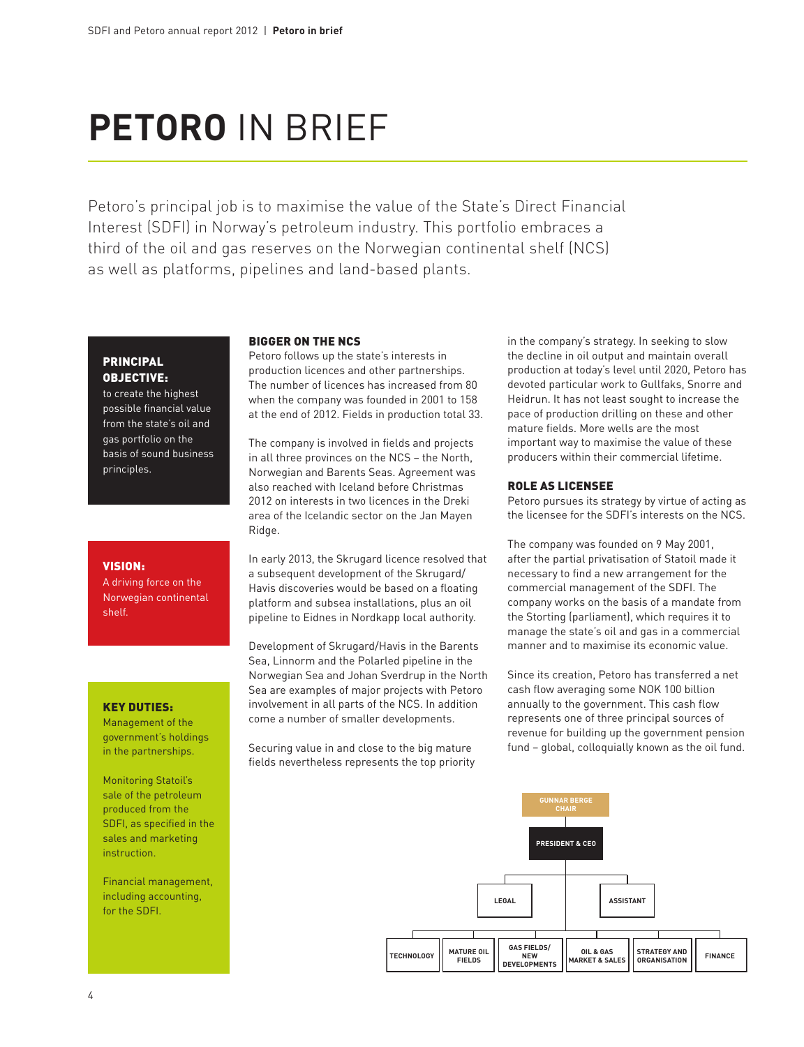# **PETORO IN BRIEF**

Petoro's principal job is to maximise the value of the State's Direct Financial Interest (SDFI) in Norway's petroleum industry. This portfolio embraces a third of the oil and gas reserves on the Norwegian continental shelf (NCS) as well as platforms, pipelines and land-based plants.

## **PRINCIPAL** objective:

to create the highest possible financial value from the state's oil and gas portfolio on the basis of sound business principles.

### vision:

A driving force on the Norwegian continental shelf.

## Key duties:

Management of the government's holdings in the partnerships.

Monitoring Statoil's sale of the petroleum produced from the SDFI, as specified in the sales and marketing instruction.

Financial management, including accounting, for the SDFI.

#### Bigger on the NCS

Petoro follows up the state's interests in production licences and other partnerships. The number of licences has increased from 80 when the company was founded in 2001 to 158 at the end of 2012. Fields in production total 33.

The company is involved in fields and projects in all three provinces on the NCS – the North, Norwegian and Barents Seas. Agreement was also reached with Iceland before Christmas 2012 on interests in two licences in the Dreki area of the Icelandic sector on the Jan Mayen Ridge.

In early 2013, the Skrugard licence resolved that a subsequent development of the Skrugard/ Havis discoveries would be based on a floating platform and subsea installations, plus an oil pipeline to Eidnes in Nordkapp local authority.

Development of Skrugard/Havis in the Barents Sea, Linnorm and the Polarled pipeline in the Norwegian Sea and Johan Sverdrup in the North Sea are examples of major projects with Petoro involvement in all parts of the NCS. In addition come a number of smaller developments.

Securing value in and close to the big mature fields nevertheless represents the top priority

in the company's strategy. In seeking to slow the decline in oil output and maintain overall production at today's level until 2020, Petoro has devoted particular work to Gullfaks, Snorre and Heidrun. It has not least sought to increase the pace of production drilling on these and other mature fields. More wells are the most important way to maximise the value of these producers within their commercial lifetime.

#### Role as licensee

Petoro pursues its strategy by virtue of acting as the licensee for the SDFI's interests on the NCS.

The company was founded on 9 May 2001, after the partial privatisation of Statoil made it necessary to find a new arrangement for the commercial management of the SDFI. The company works on the basis of a mandate from the Storting (parliament), which requires it to manage the state's oil and gas in a commercial manner and to maximise its economic value.

Since its creation, Petoro has transferred a net cash flow averaging some NOK 100 billion annually to the government. This cash flow represents one of three principal sources of revenue for building up the government pension fund – global, colloquially known as the oil fund.